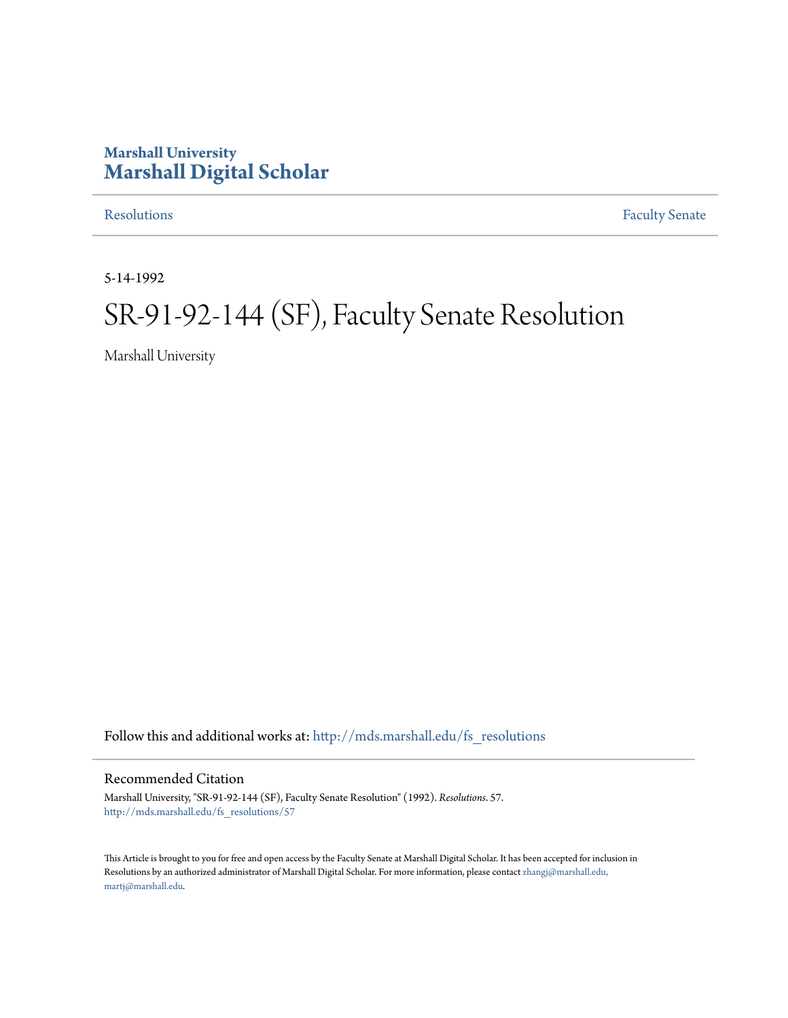### **Marshall University [Marshall Digital Scholar](http://mds.marshall.edu?utm_source=mds.marshall.edu%2Ffs_resolutions%2F57&utm_medium=PDF&utm_campaign=PDFCoverPages)**

[Resolutions](http://mds.marshall.edu/fs_resolutions?utm_source=mds.marshall.edu%2Ffs_resolutions%2F57&utm_medium=PDF&utm_campaign=PDFCoverPages) [Faculty Senate](http://mds.marshall.edu/fs?utm_source=mds.marshall.edu%2Ffs_resolutions%2F57&utm_medium=PDF&utm_campaign=PDFCoverPages)

5-14-1992

# SR-91-92-144 (SF), Faculty Senate Resolution

Marshall University

Follow this and additional works at: [http://mds.marshall.edu/fs\\_resolutions](http://mds.marshall.edu/fs_resolutions?utm_source=mds.marshall.edu%2Ffs_resolutions%2F57&utm_medium=PDF&utm_campaign=PDFCoverPages)

#### Recommended Citation

Marshall University, "SR-91-92-144 (SF), Faculty Senate Resolution" (1992). *Resolutions*. 57. [http://mds.marshall.edu/fs\\_resolutions/57](http://mds.marshall.edu/fs_resolutions/57?utm_source=mds.marshall.edu%2Ffs_resolutions%2F57&utm_medium=PDF&utm_campaign=PDFCoverPages)

This Article is brought to you for free and open access by the Faculty Senate at Marshall Digital Scholar. It has been accepted for inclusion in Resolutions by an authorized administrator of Marshall Digital Scholar. For more information, please contact [zhangj@marshall.edu,](mailto:zhangj@marshall.edu,%20martj@marshall.edu) [martj@marshall.edu](mailto:zhangj@marshall.edu,%20martj@marshall.edu).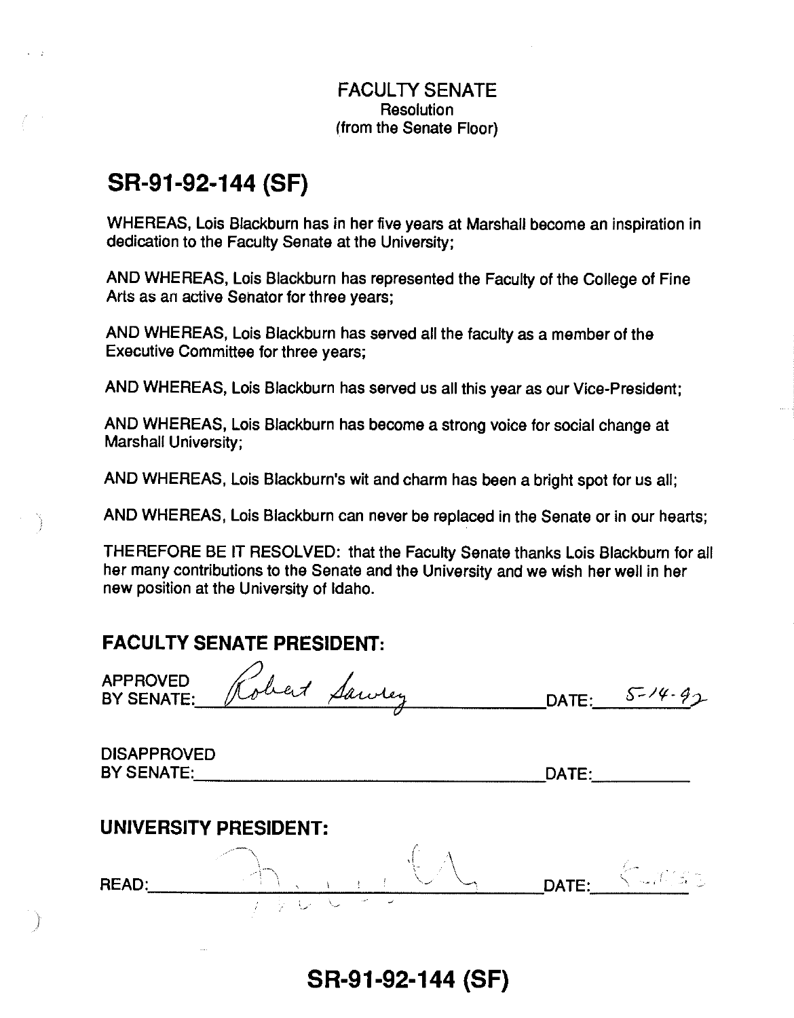#### FACULTY SENATE **Resolution** (from the Senate Floor)

# **SR-91-92-144 (SF)**

WHEREAS, Lois Blackburn has in her five years at Marshall become an inspiration in dedication to the Faculty Senate at the University;

AND WHEREAS, Lois Blackburn has represented the Faculty of the College of Fine Arts as an active Senator for three years;

AND WHEREAS, Lois Blackburn has served all the faculty as a member of the Executive Committee for three years;

AND WHEREAS, Lois Blackburn has served us all this year as our Vice-President;

AND WHEREAS, Lois Blackburn has become a strong voice for social change at Marshall University;

AND WHEREAS, Lois Blackburn's wit and charm has been a bright spot for us all;

AND WHEREAS, Lois Blackburn can never be replaced in the Senate or in our hearts;

THEREFORE BE IT RESOLVED: that the Faculty Senate thanks Lois Blackburn for all her many contributions to the Senate and the University and we wish her well in her new position at the University of Idaho.

## **FACULTY SENATE PRESIDENT:**

|                                         | <b>FACULTY SENATE PRESIDENT:</b> |       |             |
|-----------------------------------------|----------------------------------|-------|-------------|
| APPROVED<br>BY SENATE:                  | bert<br>Sawrey                   | DATE: | $5 - 14.92$ |
| <b>DISAPPROVED</b><br><b>BY SENATE:</b> |                                  | DATE: |             |
| <b>READ:</b>                            | <b>UNIVERSITY PRESIDENT:</b>     | DATE: |             |
| And in                                  |                                  |       |             |

**SR-91-92-144 (SF)**